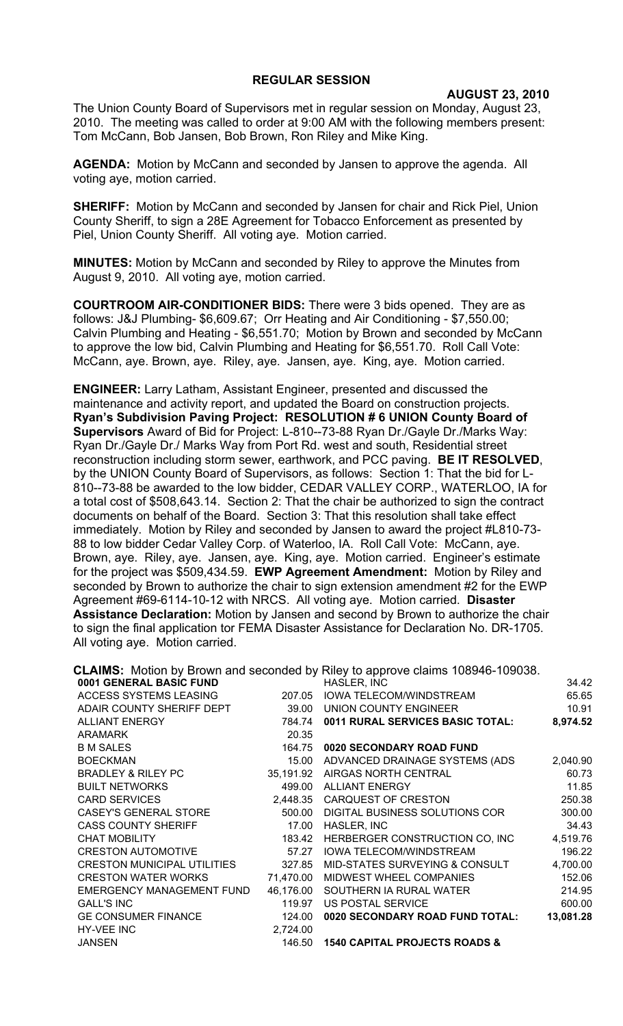## **REGULAR SESSION**

**AUGUST 23, 2010**

The Union County Board of Supervisors met in regular session on Monday, August 23, 2010. The meeting was called to order at 9:00 AM with the following members present: Tom McCann, Bob Jansen, Bob Brown, Ron Riley and Mike King.

**AGENDA:** Motion by McCann and seconded by Jansen to approve the agenda. All voting aye, motion carried.

**SHERIFF:** Motion by McCann and seconded by Jansen for chair and Rick Piel, Union County Sheriff, to sign a 28E Agreement for Tobacco Enforcement as presented by Piel, Union County Sheriff. All voting aye. Motion carried.

**MINUTES:** Motion by McCann and seconded by Riley to approve the Minutes from August 9, 2010. All voting aye, motion carried.

**COURTROOM AIR-CONDITIONER BIDS:** There were 3 bids opened. They are as follows: J&J Plumbing- \$6,609.67; Orr Heating and Air Conditioning - \$7,550.00; Calvin Plumbing and Heating - \$6,551.70; Motion by Brown and seconded by McCann to approve the low bid, Calvin Plumbing and Heating for \$6,551.70. Roll Call Vote: McCann, aye. Brown, aye. Riley, aye. Jansen, aye. King, aye. Motion carried.

**ENGINEER:** Larry Latham, Assistant Engineer, presented and discussed the maintenance and activity report, and updated the Board on construction projects. **Ryan's Subdivision Paving Project: RESOLUTION # 6 UNION County Board of Supervisors** Award of Bid for Project: L-810--73-88 Ryan Dr./Gayle Dr./Marks Way: Ryan Dr./Gayle Dr./ Marks Way from Port Rd. west and south, Residential street reconstruction including storm sewer, earthwork, and PCC paving. **BE IT RESOLVED**, by the UNION County Board of Supervisors, as follows: Section 1: That the bid for L-810--73-88 be awarded to the low bidder, CEDAR VALLEY CORP., WATERLOO, IA for a total cost of \$508,643.14. Section 2: That the chair be authorized to sign the contract documents on behalf of the Board. Section 3: That this resolution shall take effect immediately. Motion by Riley and seconded by Jansen to award the project #L810-73- 88 to low bidder Cedar Valley Corp. of Waterloo, IA. Roll Call Vote: McCann, aye. Brown, aye. Riley, aye. Jansen, aye. King, aye. Motion carried. Engineer's estimate for the project was \$509,434.59. **EWP Agreement Amendment:** Motion by Riley and seconded by Brown to authorize the chair to sign extension amendment #2 for the EWP Agreement #69-6114-10-12 with NRCS. All voting aye. Motion carried. **Disaster Assistance Declaration:** Motion by Jansen and second by Brown to authorize the chair to sign the final application tor FEMA Disaster Assistance for Declaration No. DR-1705. All voting aye. Motion carried.

**CLAIMS:** Motion by Brown and seconded by Riley to approve claims 108946-109038. **0001 GENERAL BASIC FUND HASLER INC HASLER** INC **1999 12:42** 

| <u>VVVI ULINLIVAL DAVIV I UND</u>  |           | י והטבבו <i>ז</i> , וו זט                | <u>JT.TA</u> |
|------------------------------------|-----------|------------------------------------------|--------------|
| <b>ACCESS SYSTEMS LEASING</b>      | 207.05    | IOWA TELECOM/WINDSTREAM                  | 65.65        |
| ADAIR COUNTY SHERIFF DEPT          | 39.00     | UNION COUNTY ENGINEER                    | 10.91        |
| <b>ALLIANT ENERGY</b>              | 784.74    | 0011 RURAL SERVICES BASIC TOTAL:         | 8,974.52     |
| <b>ARAMARK</b>                     | 20.35     |                                          |              |
| <b>B M SALES</b>                   | 164.75    | 0020 SECONDARY ROAD FUND                 |              |
| <b>BOECKMAN</b>                    | 15.00     | ADVANCED DRAINAGE SYSTEMS (ADS           | 2,040.90     |
| <b>BRADLEY &amp; RILEY PC</b>      |           | 35,191.92 AIRGAS NORTH CENTRAL           | 60.73        |
| <b>BUILT NETWORKS</b>              |           | 499.00 ALLIANT ENERGY                    | 11.85        |
| <b>CARD SERVICES</b>               |           | 2,448.35 CARQUEST OF CRESTON             | 250.38       |
| <b>CASEY'S GENERAL STORE</b>       | 500.00    | DIGITAL BUSINESS SOLUTIONS COR           | 300.00       |
| <b>CASS COUNTY SHERIFF</b>         | 17.00     | HASLER, INC                              | 34.43        |
| <b>CHAT MOBILITY</b>               | 183.42    | HERBERGER CONSTRUCTION CO, INC           | 4,519.76     |
| <b>CRESTON AUTOMOTIVE</b>          | 57.27     | <b>IOWA TELECOM/WINDSTREAM</b>           | 196.22       |
| <b>CRESTON MUNICIPAL UTILITIES</b> | 327.85    | MID-STATES SURVEYING & CONSULT           | 4,700.00     |
| <b>CRESTON WATER WORKS</b>         | 71,470.00 | MIDWEST WHEEL COMPANIES                  | 152.06       |
| <b>EMERGENCY MANAGEMENT FUND</b>   | 46,176.00 | SOUTHERN IA RURAL WATER                  | 214.95       |
| <b>GALL'S INC</b>                  | 119.97    | US POSTAL SERVICE                        | 600.00       |
| <b>GE CONSUMER FINANCE</b>         | 124.00    | 0020 SECONDARY ROAD FUND TOTAL:          | 13,081.28    |
| HY-VEE INC                         | 2,724.00  |                                          |              |
| <b>JANSEN</b>                      | 146.50    | <b>1540 CAPITAL PROJECTS ROADS &amp;</b> |              |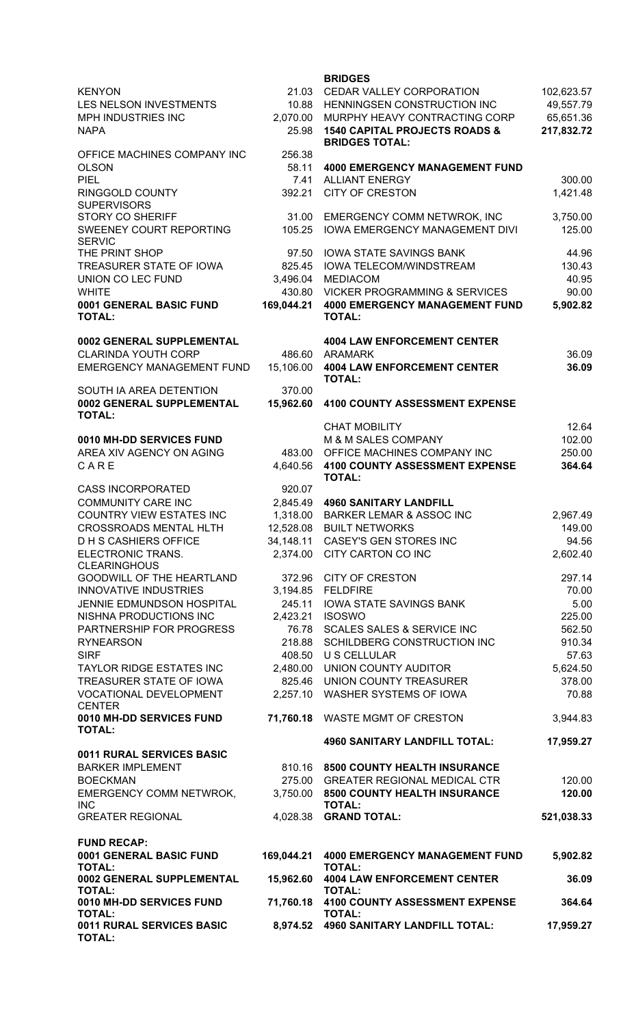|                                                                  |                     | <b>BRIDGES</b>                                                     |                        |
|------------------------------------------------------------------|---------------------|--------------------------------------------------------------------|------------------------|
| <b>KENYON</b>                                                    | 21.03               | CEDAR VALLEY CORPORATION                                           | 102,623.57             |
| LES NELSON INVESTMENTS<br>MPH INDUSTRIES INC                     | 2,070.00            | 10.88 HENNINGSEN CONSTRUCTION INC<br>MURPHY HEAVY CONTRACTING CORP | 49,557.79<br>65,651.36 |
| <b>NAPA</b>                                                      | 25.98               | <b>1540 CAPITAL PROJECTS ROADS &amp;</b><br><b>BRIDGES TOTAL:</b>  | 217,832.72             |
| OFFICE MACHINES COMPANY INC                                      | 256.38              |                                                                    |                        |
| <b>OLSON</b>                                                     | 58.11               | <b>4000 EMERGENCY MANAGEMENT FUND</b>                              |                        |
| <b>PIEL</b>                                                      | 7.41                | <b>ALLIANT ENERGY</b>                                              | 300.00                 |
| RINGGOLD COUNTY<br><b>SUPERVISORS</b>                            | 392.21              | <b>CITY OF CRESTON</b>                                             | 1,421.48               |
| <b>STORY CO SHERIFF</b>                                          | 31.00               | EMERGENCY COMM NETWROK, INC                                        | 3,750.00               |
| SWEENEY COURT REPORTING                                          | 105.25              | <b>IOWA EMERGENCY MANAGEMENT DIVI</b>                              | 125.00                 |
| <b>SERVIC</b><br>THE PRINT SHOP                                  | 97.50               | <b>IOWA STATE SAVINGS BANK</b>                                     | 44.96                  |
| TREASURER STATE OF IOWA                                          | 825.45              | <b>IOWA TELECOM/WINDSTREAM</b>                                     | 130.43                 |
| UNION CO LEC FUND                                                | 3,496.04            | <b>MEDIACOM</b>                                                    | 40.95                  |
| <b>WHITE</b>                                                     | 430.80              | <b>VICKER PROGRAMMING &amp; SERVICES</b>                           | 90.00                  |
| 0001 GENERAL BASIC FUND<br><b>TOTAL:</b>                         | 169,044.21          | <b>4000 EMERGENCY MANAGEMENT FUND</b><br><b>TOTAL:</b>             | 5,902.82               |
| 0002 GENERAL SUPPLEMENTAL                                        |                     | <b>4004 LAW ENFORCEMENT CENTER</b>                                 |                        |
| <b>CLARINDA YOUTH CORP</b>                                       |                     | 486.60 ARAMARK                                                     | 36.09                  |
| <b>EMERGENCY MANAGEMENT FUND</b>                                 |                     | 15,106.00 4004 LAW ENFORCEMENT CENTER<br><b>TOTAL:</b>             | 36.09                  |
| SOUTH IA AREA DETENTION<br>0002 GENERAL SUPPLEMENTAL             | 370.00<br>15,962.60 | <b>4100 COUNTY ASSESSMENT EXPENSE</b>                              |                        |
| <b>TOTAL:</b>                                                    |                     |                                                                    |                        |
| 0010 MH-DD SERVICES FUND                                         |                     | <b>CHAT MOBILITY</b><br>M & M SALES COMPANY                        | 12.64<br>102.00        |
| AREA XIV AGENCY ON AGING                                         |                     | 483.00 OFFICE MACHINES COMPANY INC                                 | 250.00                 |
| CARE                                                             | 4,640.56            | <b>4100 COUNTY ASSESSMENT EXPENSE</b><br><b>TOTAL:</b>             | 364.64                 |
| <b>CASS INCORPORATED</b>                                         | 920.07              |                                                                    |                        |
| <b>COMMUNITY CARE INC</b>                                        |                     | 2,845.49 4960 SANITARY LANDFILL                                    |                        |
| <b>COUNTRY VIEW ESTATES INC</b><br><b>CROSSROADS MENTAL HLTH</b> | 1,318.00            | <b>BARKER LEMAR &amp; ASSOC INC</b><br>12,528.08 BUILT NETWORKS    | 2,967.49<br>149.00     |
| <b>DHS CASHIERS OFFICE</b>                                       |                     | 34,148.11 CASEY'S GEN STORES INC                                   | 94.56                  |
| ELECTRONIC TRANS.<br><b>CLEARINGHOUS</b>                         |                     | 2,374.00 CITY CARTON CO INC                                        | 2,602.40               |
| GOODWILL OF THE HEARTLAND                                        |                     | 372.96 CITY OF CRESTON                                             | 297.14                 |
| <b>INNOVATIVE INDUSTRIES</b>                                     |                     | 3,194.85 FELDFIRE                                                  | 70.00                  |
| JENNIE EDMUNDSON HOSPITAL                                        | 245.11              | IOWA STATE SAVINGS BANK                                            | 5.00                   |
| NISHNA PRODUCTIONS INC<br>PARTNERSHIP FOR PROGRESS               | 2,423.21<br>76.78   | <b>ISOSWO</b><br>SCALES SALES & SERVICE INC                        | 225.00<br>562.50       |
| <b>RYNEARSON</b>                                                 | 218.88              | SCHILDBERG CONSTRUCTION INC                                        | 910.34                 |
| <b>SIRF</b>                                                      | 408.50              | U S CELLULAR                                                       | 57.63                  |
| <b>TAYLOR RIDGE ESTATES INC</b>                                  |                     | 2,480.00 UNION COUNTY AUDITOR                                      | 5,624.50               |
| TREASURER STATE OF IOWA                                          | 825.46              | UNION COUNTY TREASURER                                             | 378.00                 |
| VOCATIONAL DEVELOPMENT<br><b>CENTER</b>                          |                     | 2,257.10 WASHER SYSTEMS OF IOWA                                    | 70.88                  |
| 0010 MH-DD SERVICES FUND<br><b>TOTAL:</b>                        |                     | 71,760.18 WASTE MGMT OF CRESTON                                    | 3,944.83               |
| 0011 RURAL SERVICES BASIC                                        |                     | <b>4960 SANITARY LANDFILL TOTAL:</b>                               | 17,959.27              |
| <b>BARKER IMPLEMENT</b>                                          |                     | 810.16 8500 COUNTY HEALTH INSURANCE                                |                        |
| <b>BOECKMAN</b>                                                  |                     | 275.00 GREATER REGIONAL MEDICAL CTR                                | 120.00                 |
| <b>EMERGENCY COMM NETWROK,</b>                                   | 3,750.00            | <b>8500 COUNTY HEALTH INSURANCE</b>                                | 120.00                 |
| <b>INC</b><br><b>GREATER REGIONAL</b>                            | 4,028.38            | <b>TOTAL:</b><br><b>GRAND TOTAL:</b>                               | 521,038.33             |
| <b>FUND RECAP:</b>                                               |                     |                                                                    |                        |
| 0001 GENERAL BASIC FUND<br><b>TOTAL:</b>                         | 169,044.21          | <b>4000 EMERGENCY MANAGEMENT FUND</b><br><b>TOTAL:</b>             | 5,902.82               |
| 0002 GENERAL SUPPLEMENTAL<br><b>TOTAL:</b>                       | 15,962.60           | <b>4004 LAW ENFORCEMENT CENTER</b><br><b>TOTAL:</b>                | 36.09                  |
| 0010 MH-DD SERVICES FUND<br><b>TOTAL:</b>                        | 71,760.18           | 4100 COUNTY ASSESSMENT EXPENSE<br><b>TOTAL:</b>                    | 364.64                 |
| 0011 RURAL SERVICES BASIC<br><b>TOTAL:</b>                       |                     | 8,974.52 4960 SANITARY LANDFILL TOTAL:                             | 17,959.27              |